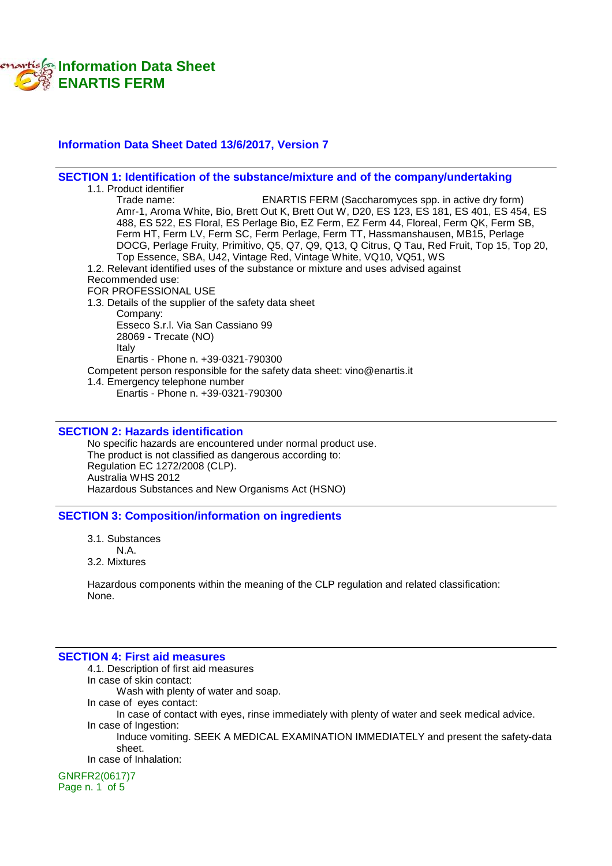

#### **Information Data Sheet Dated 13/6/2017, Version 7**

#### **SECTION 1: Identification of the substance/mixture and of the company/undertaking**

1.1. Product identifier<br>Trade name: ENARTIS FERM (Saccharomyces spp. in active dry form) Amr-1, Aroma White, Bio, Brett Out K, Brett Out W, D20, ES 123, ES 181, ES 401, ES 454, ES 488, ES 522, ES Floral, ES Perlage Bio, EZ Ferm, EZ Ferm 44, Floreal, Ferm QK, Ferm SB, Ferm HT, Ferm LV, Ferm SC, Ferm Perlage, Ferm TT, Hassmanshausen, MB15, Perlage DOCG, Perlage Fruity, Primitivo, Q5, Q7, Q9, Q13, Q Citrus, Q Tau, Red Fruit, Top 15, Top 20, Top Essence, SBA, U42, Vintage Red, Vintage White, VQ10, VQ51, WS 1.2. Relevant identified uses of the substance or mixture and uses advised against Recommended use: FOR PROFESSIONAL USE 1.3. Details of the supplier of the safety data sheet Company: Esseco S.r.l. Via San Cassiano 99 28069 - Trecate (NO) Italy Enartis - Phone n. +39-0321-790300 Competent person responsible for the safety data sheet: vino@enartis.it 1.4. Emergency telephone number Enartis - Phone n. +39-0321-790300

#### **SECTION 2: Hazards identification**

No specific hazards are encountered under normal product use. The product is not classified as dangerous according to: Regulation EC 1272/2008 (CLP). Australia WHS 2012 Hazardous Substances and New Organisms Act (HSNO)

#### **SECTION 3: Composition/information on ingredients**

- 3.1. Substances
- N.A.
- 3.2. Mixtures

Hazardous components within the meaning of the CLP regulation and related classification: None.

#### **SECTION 4: First aid measures**

4.1. Description of first aid measures In case of skin contact: Wash with plenty of water and soap. In case of eyes contact: In case of contact with eyes, rinse immediately with plenty of water and seek medical advice. In case of Ingestion: Induce vomiting. SEEK A MEDICAL EXAMINATION IMMEDIATELY and present the safety-data sheet. In case of Inhalation:

GNRFR2(0617)7 Page n. 1 of 5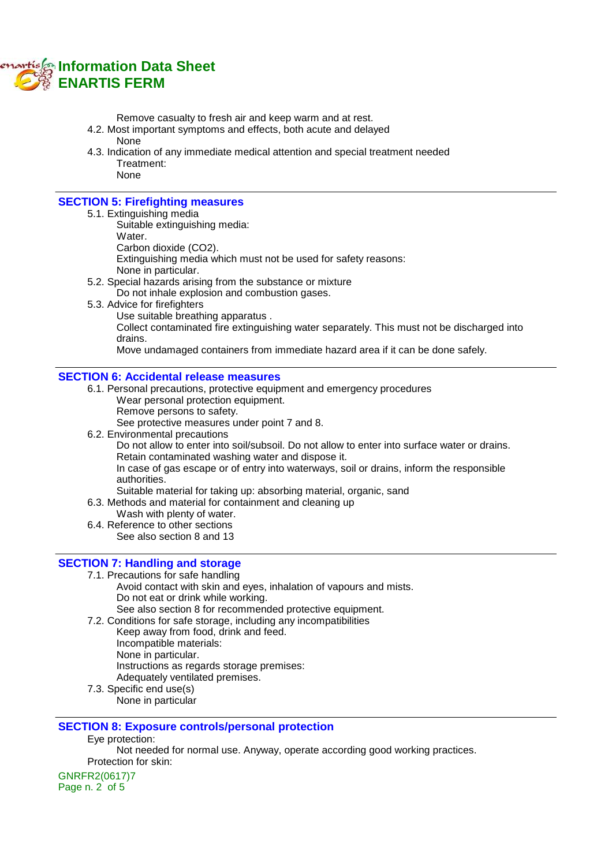

Remove casualty to fresh air and keep warm and at rest.

- 4.2. Most important symptoms and effects, both acute and delayed None
- 4.3. Indication of any immediate medical attention and special treatment needed Treatment: None

## **SECTION 5: Firefighting measures**

- 5.1. Extinguishing media
	- Suitable extinguishing media:
	- Water.

Carbon dioxide (CO2).

Extinguishing media which must not be used for safety reasons:

- None in particular.
- 5.2. Special hazards arising from the substance or mixture
	- Do not inhale explosion and combustion gases.
- 5.3. Advice for firefighters
	- Use suitable breathing apparatus .

Collect contaminated fire extinguishing water separately. This must not be discharged into drains.

Move undamaged containers from immediate hazard area if it can be done safely.

#### **SECTION 6: Accidental release measures**

- 6.1. Personal precautions, protective equipment and emergency procedures Wear personal protection equipment.
	- Remove persons to safety.

See protective measures under point 7 and 8.

6.2. Environmental precautions

Do not allow to enter into soil/subsoil. Do not allow to enter into surface water or drains. Retain contaminated washing water and dispose it.

In case of gas escape or of entry into waterways, soil or drains, inform the responsible authorities.

Suitable material for taking up: absorbing material, organic, sand

6.3. Methods and material for containment and cleaning up

- Wash with plenty of water.
- 6.4. Reference to other sections See also section 8 and 13

#### **SECTION 7: Handling and storage**

- 7.1. Precautions for safe handling
	- Avoid contact with skin and eyes, inhalation of vapours and mists. Do not eat or drink while working. See also section 8 for recommended protective equipment.
	-
- 7.2. Conditions for safe storage, including any incompatibilities Keep away from food, drink and feed. Incompatible materials: None in particular.
	- Instructions as regards storage premises:
	- Adequately ventilated premises.
- 7.3. Specific end use(s)
	- None in particular

#### **SECTION 8: Exposure controls/personal protection**

Eye protection:

Not needed for normal use. Anyway, operate according good working practices. Protection for skin:

GNRFR2(0617)7 Page n. 2 of 5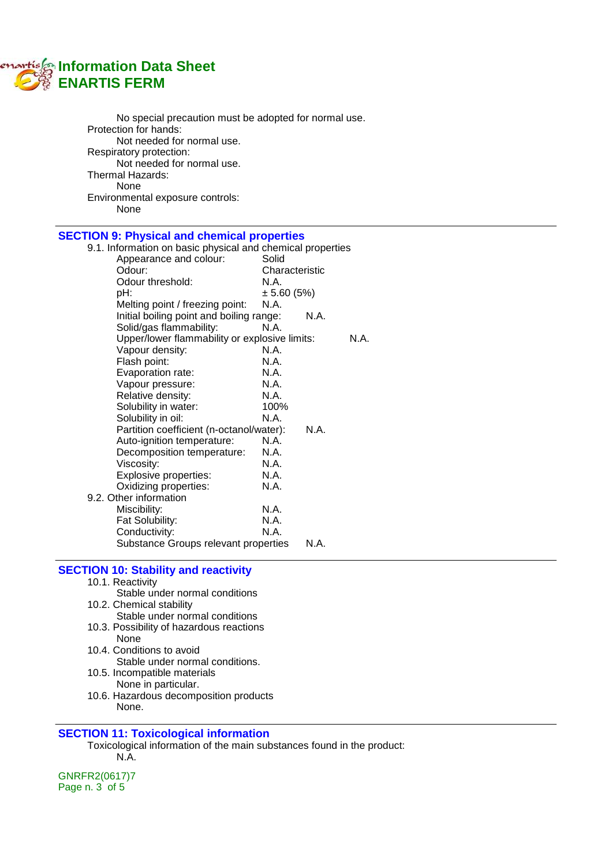# **Information Data Sheet ENARTIS FERM**

| No special precaution must be adopted for normal use.<br>Protection for hands:<br>Not needed for normal use.<br>Respiratory protection:<br>Not needed for normal use.<br>Thermal Hazards:<br>None<br>Environmental exposure controls:<br>None |                |
|-----------------------------------------------------------------------------------------------------------------------------------------------------------------------------------------------------------------------------------------------|----------------|
| <b>SECTION 9: Physical and chemical properties</b>                                                                                                                                                                                            |                |
| 9.1. Information on basic physical and chemical properties                                                                                                                                                                                    |                |
| Appearance and colour:                                                                                                                                                                                                                        | Solid          |
| Odour:                                                                                                                                                                                                                                        | Characteristic |
| Odour threshold:                                                                                                                                                                                                                              | N.A.           |
| pH:                                                                                                                                                                                                                                           | $\pm 5.60(5%)$ |
| Melting point / freezing point:                                                                                                                                                                                                               | N.A.           |
| Initial boiling point and boiling range:                                                                                                                                                                                                      | N.A.           |
| Solid/gas flammability:                                                                                                                                                                                                                       | N.A.           |
| Upper/lower flammability or explosive limits:                                                                                                                                                                                                 | N.A.           |
| Vapour density:                                                                                                                                                                                                                               | N.A.           |
| Flash point:                                                                                                                                                                                                                                  | N.A.           |
| Evaporation rate:                                                                                                                                                                                                                             | N.A.           |
| Vapour pressure:                                                                                                                                                                                                                              | N.A.           |
| Relative density:                                                                                                                                                                                                                             | N.A.           |
| Solubility in water:                                                                                                                                                                                                                          | 100%           |
| Solubility in oil:                                                                                                                                                                                                                            | N.A.           |
| Partition coefficient (n-octanol/water):                                                                                                                                                                                                      | N.A.           |
| Auto-ignition temperature:                                                                                                                                                                                                                    | N.A.           |
| Decomposition temperature:                                                                                                                                                                                                                    | N.A.           |

Fat Solubility: N.A.<br>Conductivity: N.A. Conductivity: Substance Groups relevant properties N.A. **SECTION 10: Stability and reactivity**

Oxidizing properties:

9.2. Other information

Viscosity: N.A. Explosive properties: N.A.<br>Oxidizing properties: N.A.

Miscibility: N.A.

- 10.1. Reactivity Stable under normal conditions 10.2. Chemical stability
- Stable under normal conditions 10.3. Possibility of hazardous reactions
- None 10.4. Conditions to avoid
	- Stable under normal conditions.
- 10.5. Incompatible materials None in particular.
- 10.6. Hazardous decomposition products None.

## **SECTION 11: Toxicological information**

Toxicological information of the main substances found in the product: N.A.

GNRFR2(0617)7 Page n. 3 of 5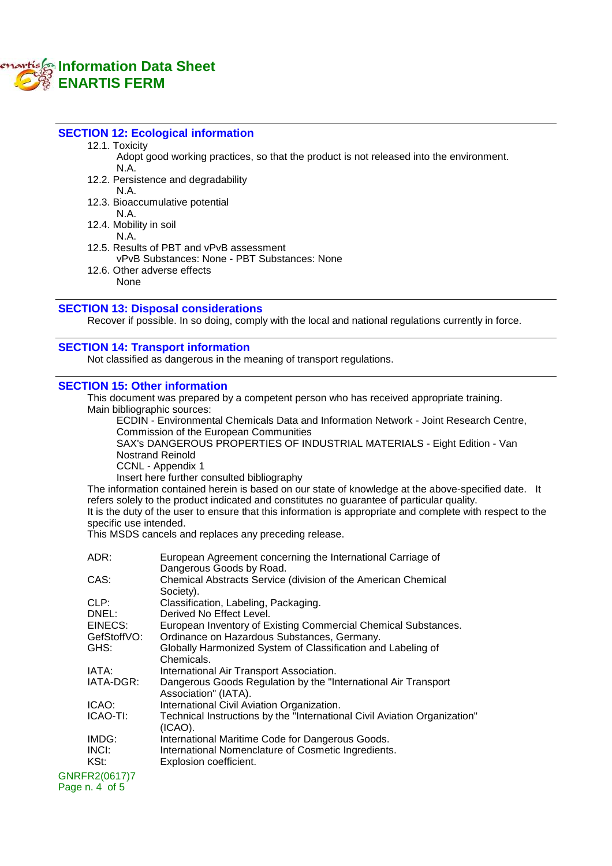## **Information Data Sheet ENARTIS FERM**

#### **SECTION 12: Ecological information**

12.1. Toxicity

Adopt good working practices, so that the product is not released into the environment. N.A.

12.2. Persistence and degradability

N.A.

12.3. Bioaccumulative potential N.A.

12.4. Mobility in soil

N.A.

12.5. Results of PBT and vPvB assessment

- vPvB Substances: None PBT Substances: None
- 12.6. Other adverse effects None

#### **SECTION 13: Disposal considerations**

Recover if possible. In so doing, comply with the local and national regulations currently in force.

### **SECTION 14: Transport information**

Not classified as dangerous in the meaning of transport regulations.

#### **SECTION 15: Other information**

This document was prepared by a competent person who has received appropriate training. Main bibliographic sources:

ECDIN - Environmental Chemicals Data and Information Network - Joint Research Centre, Commission of the European Communities

SAX's DANGEROUS PROPERTIES OF INDUSTRIAL MATERIALS - Eight Edition - Van Nostrand Reinold

CCNL - Appendix 1

Insert here further consulted bibliography

The information contained herein is based on our state of knowledge at the above-specified date. It refers solely to the product indicated and constitutes no guarantee of particular quality.

It is the duty of the user to ensure that this information is appropriate and complete with respect to the specific use intended.

This MSDS cancels and replaces any preceding release.

| ADR:                            | European Agreement concerning the International Carriage of<br>Dangerous Goods by Road. |
|---------------------------------|-----------------------------------------------------------------------------------------|
| CAS:                            | Chemical Abstracts Service (division of the American Chemical<br>Society).              |
| CLP:                            | Classification, Labeling, Packaging.                                                    |
| DNEL:                           | Derived No Effect Level.                                                                |
| EINECS:                         | European Inventory of Existing Commercial Chemical Substances.                          |
| GefStoffVO:                     | Ordinance on Hazardous Substances, Germany.                                             |
| GHS:                            | Globally Harmonized System of Classification and Labeling of<br>Chemicals.              |
| IATA:                           | International Air Transport Association.                                                |
| IATA-DGR:                       | Dangerous Goods Regulation by the "International Air Transport"<br>Association" (IATA). |
| ICAO:                           | International Civil Aviation Organization.                                              |
| ICAO-TI:                        | Technical Instructions by the "International Civil Aviation Organization"<br>$(ICAO)$ . |
| IMDG:                           | International Maritime Code for Dangerous Goods.                                        |
| INCI:                           | International Nomenclature of Cosmetic Ingredients.                                     |
| KSt:                            | Explosion coefficient.                                                                  |
| GNRFR2(0617)7<br>Page n. 4 of 5 |                                                                                         |